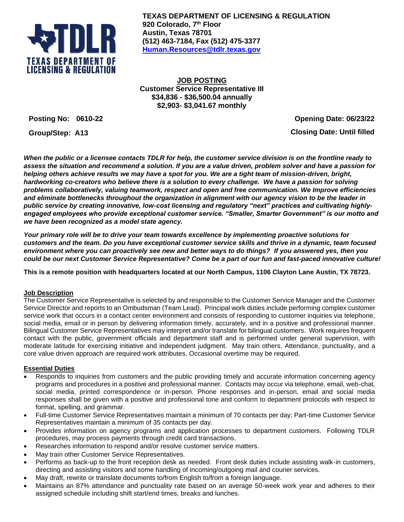

**TEXAS DEPARTMENT OF LICENSING & REGULATION 920 Colorado, 7 th Floor Austin, Texas 78701 (512) 463-7184, Fax (512) 475-3377 [Human.Resources@tdlr.texas.gov](mailto:Human.Resources@tdlr.texas.gov)**

**JOB POSTING Customer Service Representative III \$34,836 - \$36,500.04 annually \$2,903- \$3,041.67 monthly**

**Posting No: 0610-22 Opening Date: 06/23/22 Group/Step: A13 Closing Date: Until filled**

*When the public or a licensee contacts TDLR for help, the customer service division is on the frontline ready to assess the situation and recommend a solution. If you are a value driven, problem solver and have a passion for helping others achieve results we may have a spot for you. We are a tight team of mission-driven, bright, hardworking co-creators who believe there is a solution to every challenge. We have a passion for solving problems collaboratively, valuing teamwork, respect and open and free communication. We Improve efficiencies and eliminate bottlenecks throughout the organization in alignment with our agency vision to be the leader in public service by creating innovative, low-cost licensing and regulatory "next" practices and cultivating highlyengaged employees who provide exceptional customer service. "Smaller, Smarter Government" is our motto and we have been recognized as a model state agency.* 

*Your primary role will be to drive your team towards excellence by implementing proactive solutions for customers and the team. Do you have exceptional customer service skills and thrive in a dynamic, team focused environment where you can proactively see new and better ways to do things? If you answered yes, then you could be our next Customer Service Representative? Come be a part of our fun and fast-paced innovative culture!*

**This is a remote position with headquarters located at our North Campus, 1106 Clayton Lane Austin, TX 78723.**

## **Job Description**

The Customer Service Representative is selected by and responsible to the Customer Service Manager and the Customer Service Director and reports to an Ombudsman (Team Lead). Principal work duties include performing complex customer service work that occurs in a contact center environment and consists of responding to customer inquiries via telephone, social media, email or in person by delivering information timely, accurately, and in a positive and professional manner. Bilingual Customer Service Representatives may interpret and/or translate for bilingual customers. Work requires frequent contact with the public, government officials and department staff and is performed under general supervision, with moderate latitude for exercising initiative and independent judgment. May train others. Attendance, punctuality, and a core value driven approach are required work attributes. Occasional overtime may be required.

# **Essential Duties**

- Responds to inquiries from customers and the public providing timely and accurate information concerning agency programs and procedures in a positive and professional manner. Contacts may occur via telephone, email, web-chat, social media, printed correspondence or in-person. Phone responses and in-person, email and social media responses shall be given with a positive and professional tone and conform to department protocols with respect to format, spelling, and grammar.
- Full-time Customer Service Representatives maintain a minimum of 70 contacts per day; Part-time Customer Service Representatives maintain a minimum of 35 contacts per day.
- Provides information on agency programs and application processes to department customers. Following TDLR procedures, may process payments through credit card transactions.
- Researches information to respond and/or resolve customer service matters.
- May train other Customer Service Representatives.
- Performs as back-up to the front reception desk as needed. Front desk duties include assisting walk-in customers, directing and assisting visitors and some handling of incoming/outgoing mail and courier services.
- May draft, rewrite or translate documents to/from English to/from a foreign language.
- Maintains an 87% attendance and punctuality rate based on an average 50-week work year and adheres to their assigned schedule including shift start/end times, breaks and lunches.